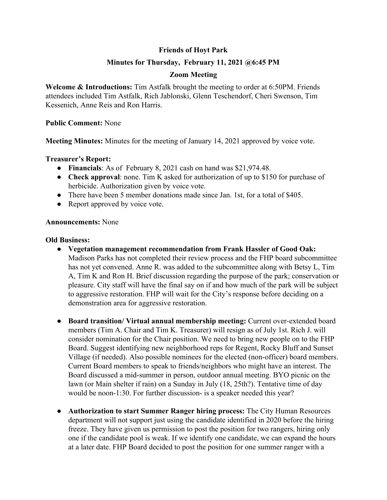# **Friends of Hoyt Park**

## **Minutes for Thursday, February 11, 2021 @6:45 PM**

## **Zoom Meeting**

**Welcome & Introductions:** Tim Astfalk brought the meeting to order at 6:50PM. Friends attendees included Tim Astfalk, Rich Jablonski, Glenn Teschendorf, Cheri Swenson, Tim Kessenich, Anne Reis and Ron Harris.

### **Public Comment:** None

**Meeting Minutes:** Minutes for the meeting of January 14, 2021 approved by voice vote.

### **Treasurer's Report:**

- **Financials**: As of February 8, 2021 cash on hand was \$21,974.48.
- **Check approval**: none. Tim K asked for authorization of up to \$150 for purchase of herbicide. Authorization given by voice vote.
- There have been 5 member donations made since Jan. 1st, for a total of \$405.
- Report approved by voice vote.

#### **Announcements:** None

#### **Old Business:**

- **● Vegetation management recommendation from Frank Hassler of Good Oak:** Madison Parks has not completed their review process and the FHP board subcommittee has not yet convened. Anne R. was added to the subcommittee along with Betsy L, Tim A, Tim K and Ron H. Brief discussion regarding the purpose of the park; conservation or pleasure. City staff will have the final say on if and how much of the park will be subject to aggressive restoration. FHP will wait for the City's response before deciding on a demonstration area for aggressive restoration.
- **● Board transition/ Virtual annual membership meeting:** Current over-extended board members (Tim A. Chair and Tim K. Treasurer) will resign as of July 1st. Rich J. will consider nomination for the Chair position. We need to bring new people on to the FHP Board. Suggest identifying new neighborhood reps for Regent, Rocky Bluff and Sunset Village (if needed). Also possible nominees for the elected (non-officer) board members. Current Board members to speak to friends/neighbors who might have an interest. The Board discussed a mid-summer in person, outdoor annual meeting. BYO picnic on the lawn (or Main shelter if rain) on a Sunday in July (18, 25th?). Tentative time of day would be noon-1:30. For further discussion- is a speaker needed this year?
- **● Authorization to start Summer Ranger hiring process:** The City Human Resources department will not support just using the candidate identified in 2020 before the hiring freeze. They have given us permission to post the position for two rangers, hiring only one if the candidate pool is weak. If we identify one candidate, we can expand the hours at a later date. FHP Board decided to post the position for one summer ranger with a